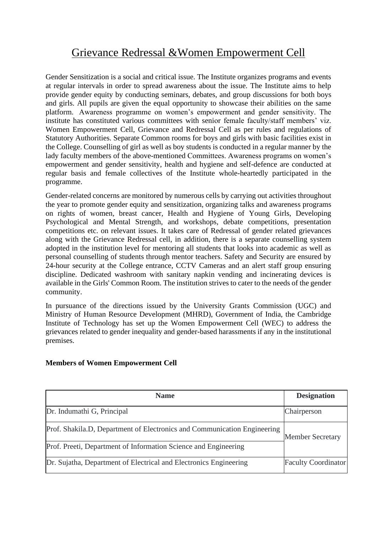## Grievance Redressal &Women Empowerment Cell

Gender Sensitization is a social and critical issue. The Institute organizes programs and events at regular intervals in order to spread awareness about the issue. The Institute aims to help provide gender equity by conducting seminars, debates, and group discussions for both boys and girls. All pupils are given the equal opportunity to showcase their abilities on the same platform. Awareness programme on women's empowerment and gender sensitivity. The institute has constituted various committees with senior female faculty/staff members' viz. Women Empowerment Cell, Grievance and Redressal Cell as per rules and regulations of Statutory Authorities. Separate Common rooms for boys and girls with basic facilities exist in the College. Counselling of girl as well as boy students is conducted in a regular manner by the lady faculty members of the above-mentioned Committees. Awareness programs on women's empowerment and gender sensitivity, health and hygiene and self-defence are conducted at regular basis and female collectives of the Institute whole-heartedly participated in the programme.

Gender-related concerns are monitored by numerous cells by carrying out activities throughout the year to promote gender equity and sensitization, organizing talks and awareness programs on rights of women, breast cancer, Health and Hygiene of Young Girls, Developing Psychological and Mental Strength, and workshops, debate competitions, presentation competitions etc. on relevant issues. It takes care of Redressal of gender related grievances along with the Grievance Redressal cell, in addition, there is a separate counselling system adopted in the institution level for mentoring all students that looks into academic as well as personal counselling of students through mentor teachers. Safety and Security are ensured by 24-hour security at the College entrance, CCTV Cameras and an alert staff group ensuring discipline. Dedicated washroom with sanitary napkin vending and incinerating devices is available in the Girls' Common Room. The institution strives to cater to the needs of the gender community.

In pursuance of the directions issued by the University Grants Commission (UGC) and Ministry of Human Resource Development (MHRD), Government of India, the Cambridge Institute of Technology has set up the Women Empowerment Cell (WEC) to address the grievances related to gender inequality and gender-based harassments if any in the institutional premises.

## **Members of Women Empowerment Cell**

| <b>Name</b>                                                              | <b>Designation</b>         |  |
|--------------------------------------------------------------------------|----------------------------|--|
| Dr. Indumathi G, Principal                                               | Chairperson                |  |
| Prof. Shakila.D, Department of Electronics and Communication Engineering | <b>Member Secretary</b>    |  |
| Prof. Preeti, Department of Information Science and Engineering          |                            |  |
| Dr. Sujatha, Department of Electrical and Electronics Engineering        | <b>Faculty Coordinator</b> |  |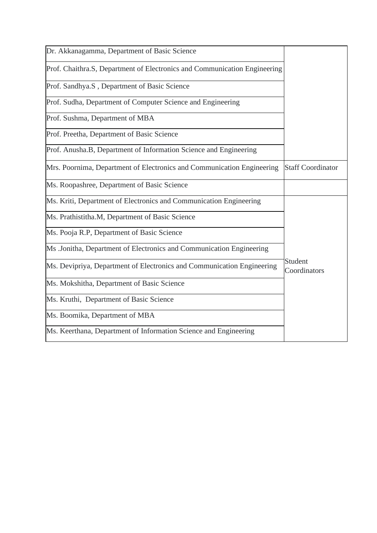| Dr. Akkanagamma, Department of Basic Science                              |                          |
|---------------------------------------------------------------------------|--------------------------|
| Prof. Chaithra.S, Department of Electronics and Communication Engineering |                          |
| Prof. Sandhya.S, Department of Basic Science                              |                          |
| Prof. Sudha, Department of Computer Science and Engineering               |                          |
| Prof. Sushma, Department of MBA                                           |                          |
| Prof. Preetha, Department of Basic Science                                |                          |
| Prof. Anusha.B, Department of Information Science and Engineering         |                          |
| Mrs. Poornima, Department of Electronics and Communication Engineering    | <b>Staff Coordinator</b> |
| Ms. Roopashree, Department of Basic Science                               |                          |
| Ms. Kriti, Department of Electronics and Communication Engineering        |                          |
| Ms. Prathistitha.M, Department of Basic Science                           |                          |
| Ms. Pooja R.P, Department of Basic Science                                |                          |
| Ms .Jonitha, Department of Electronics and Communication Engineering      |                          |
| Ms. Devipriya, Department of Electronics and Communication Engineering    | Student<br>Coordinators  |
| Ms. Mokshitha, Department of Basic Science                                |                          |
| Ms. Kruthi, Department of Basic Science                                   |                          |
| Ms. Boomika, Department of MBA                                            |                          |
| Ms. Keerthana, Department of Information Science and Engineering          |                          |